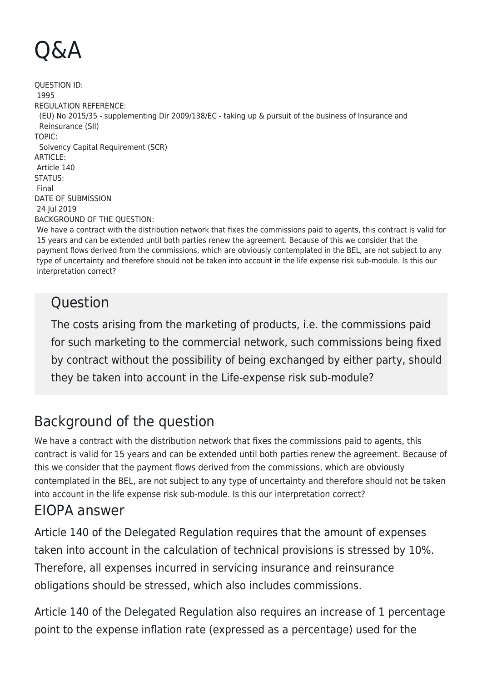## Q&A

QUESTION ID: 1995 REGULATION REFERENCE: (EU) No 2015/35 - supplementing Dir 2009/138/EC - taking up & pursuit of the business of Insurance and Reinsurance (SII) TOPIC: Solvency Capital Requirement (SCR) ARTICLE: Article 140 STATUS: Final DATE OF SUBMISSION 24 Jul 2019 BACKGROUND OF THE QUESTION:

We have a contract with the distribution network that fixes the commissions paid to agents, this contract is valid for 15 years and can be extended until both parties renew the agreement. Because of this we consider that the payment flows derived from the commissions, which are obviously contemplated in the BEL, are not subject to any type of uncertainty and therefore should not be taken into account in the life expense risk sub-module. Is this our interpretation correct?

## **Ouestion**

The costs arising from the marketing of products, i.e. the commissions paid for such marketing to the commercial network, such commissions being fixed by contract without the possibility of being exchanged by either party, should they be taken into account in the Life-expense risk sub-module?

## Background of the question

We have a contract with the distribution network that fixes the commissions paid to agents, this contract is valid for 15 years and can be extended until both parties renew the agreement. Because of this we consider that the payment flows derived from the commissions, which are obviously contemplated in the BEL, are not subject to any type of uncertainty and therefore should not be taken into account in the life expense risk sub-module. Is this our interpretation correct?

## EIOPA answer

Article 140 of the Delegated Regulation requires that the amount of expenses taken into account in the calculation of technical provisions is stressed by 10%. Therefore, all expenses incurred in servicing insurance and reinsurance obligations should be stressed, which also includes commissions.

Article 140 of the Delegated Regulation also requires an increase of 1 percentage point to the expense inflation rate (expressed as a percentage) used for the